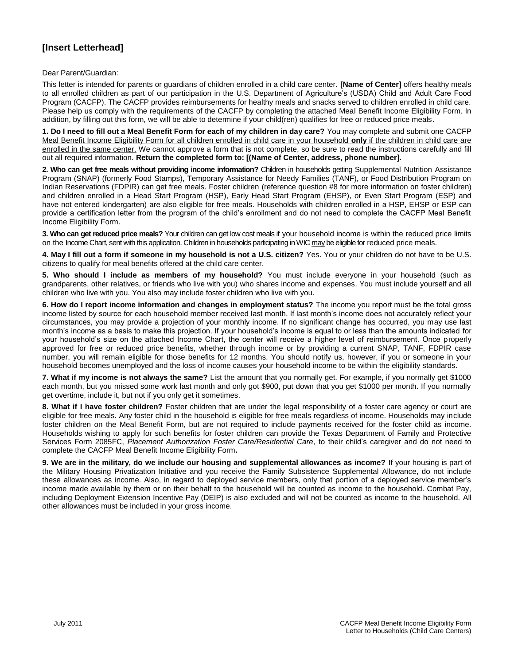## **[Insert Letterhead]**

Dear Parent/Guardian:

This letter is intended for parents or guardians of children enrolled in a child care center. **[Name of Center]** offers healthy meals to all enrolled children as part of our participation in the U.S. Department of Agriculture's (USDA) Child and Adult Care Food Program (CACFP). The CACFP provides reimbursements for healthy meals and snacks served to children enrolled in child care. Please help us comply with the requirements of the CACFP by completing the attached Meal Benefit Income Eligibility Form. In addition, by filling out this form, we will be able to determine if your child(ren) qualifies for free or reduced price meals.

**1. Do I need to fill out a Meal Benefit Form for each of my children in day care?** You may complete and submit one CACFP Meal Benefit Income Eligibility Form for all children enrolled in child care in your household **only** if the children in child care are enrolled in the same center. We cannot approve a form that is not complete, so be sure to read the instructions carefully and fill out all required information. **Return the completed form to: [(Name of Center, address, phone number].** 

**2. Who can get free meals without providing income information?** Children in households getting Supplemental Nutrition Assistance Program (SNAP) (formerly Food Stamps), Temporary Assistance for Needy Families (TANF), or Food Distribution Program on Indian Reservations (FDPIR) can get free meals. Foster children (reference question #8 for more information on foster children) and children enrolled in a Head Start Program (HSP), Early Head Start Program (EHSP), or Even Start Program (ESP) and have not entered kindergarten) are also eligible for free meals. Households with children enrolled in a HSP, EHSP or ESP can provide a certification letter from the program of the child's enrollment and do not need to complete the CACFP Meal Benefit Income Eligibility Form.

**3. Who can get reduced price meals?** Your children can get low cost meals if your household income is within the reduced price limits on the Income Chart, sent with this application. Children in households participating in WIC may be eligible for reduced price meals.

**4. May I fill out a form if someone in my household is not a U.S. citizen?** Yes. You or your children do not have to be U.S. citizens to qualify for meal benefits offered at the child care center.

**5. Who should I include as members of my household?** You must include everyone in your household (such as grandparents, other relatives, or friends who live with you) who shares income and expenses. You must include yourself and all children who live with you. You also may include foster children who live with you.

**6. How do I report income information and changes in employment status?** The income you report must be the total gross income listed by source for each household member received last month. If last month's income does not accurately reflect your circumstances, you may provide a projection of your monthly income. If no significant change has occurred, you may use last month's income as a basis to make this projection. If your household's income is equal to or less than the amounts indicated for your household's size on the attached Income Chart, the center will receive a higher level of reimbursement. Once properly approved for free or reduced price benefits, whether through income or by providing a current SNAP, TANF, FDPIR case number, you will remain eligible for those benefits for 12 months. You should notify us, however, if you or someone in your household becomes unemployed and the loss of income causes your household income to be within the eligibility standards.

**7. What if my income is not always the same?** List the amount that you normally get. For example, if you normally get \$1000 each month, but you missed some work last month and only got \$900, put down that you get \$1000 per month. If you normally get overtime, include it, but not if you only get it sometimes.

**8. What if I have foster children?** Foster children that are under the legal responsibility of a foster care agency or court are eligible for free meals. Any foster child in the household is eligible for free meals regardless of income. Households may include foster children on the Meal Benefit Form, but are not required to include payments received for the foster child as income. Households wishing to apply for such benefits for foster children can provide the Texas Department of Family and Protective Services Form 2085FC, *Placement Authorization Foster Care/Residential Care*, to their child's caregiver and do not need to complete the CACFP Meal Benefit Income Eligibility Form**.** 

**9. We are in the military, do we include our housing and supplemental allowances as income?** If your housing is part of the Military Housing Privatization Initiative and you receive the Family Subsistence Supplemental Allowance, do not include these allowances as income. Also, in regard to deployed service members, only that portion of a deployed service member's income made available by them or on their behalf to the household will be counted as income to the household. Combat Pay, including Deployment Extension Incentive Pay (DEIP) is also excluded and will not be counted as income to the household. All other allowances must be included in your gross income.